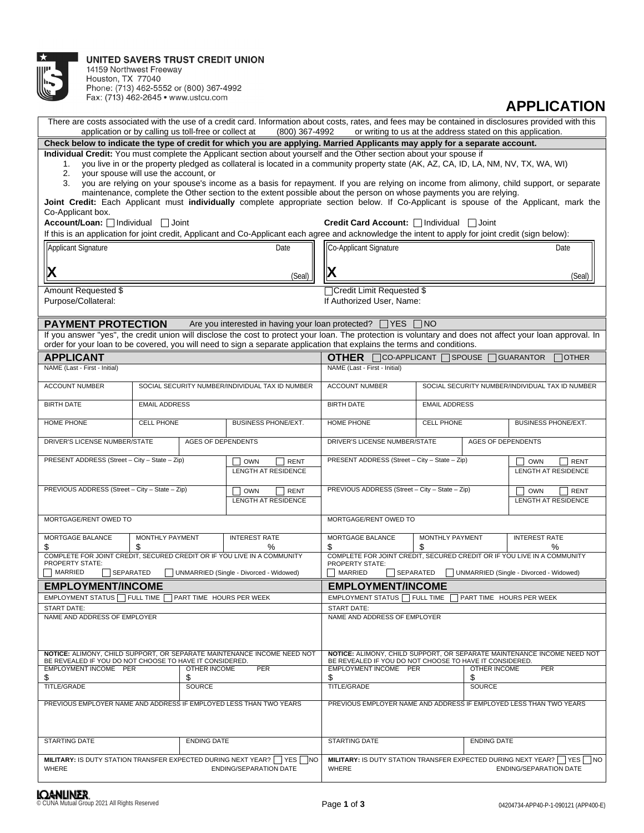

14159 Northwest Freeway<br>Houston, TX 77040<br>Phone: (713) 462-5552 or (800) 367-4992<br>Fax: (713) 462-2645 • www.ustcu.com

**APPLICATION**

| There are costs associated with the use of a credit card. Information about costs, rates, and fees may be contained in disclosures provided with this<br>application or by calling us toll-free or collect at<br>(800) 367-4992<br>or writing to us at the address stated on this application.                                                                                                                                                                   |                                                   |                    |                                                                                                                                                                                                                                                                                      |                                                                                            |                                   |                                                         |                                         |  |  |  |  |
|------------------------------------------------------------------------------------------------------------------------------------------------------------------------------------------------------------------------------------------------------------------------------------------------------------------------------------------------------------------------------------------------------------------------------------------------------------------|---------------------------------------------------|--------------------|--------------------------------------------------------------------------------------------------------------------------------------------------------------------------------------------------------------------------------------------------------------------------------------|--------------------------------------------------------------------------------------------|-----------------------------------|---------------------------------------------------------|-----------------------------------------|--|--|--|--|
| Check below to indicate the type of credit for which you are applying. Married Applicants may apply for a separate account.                                                                                                                                                                                                                                                                                                                                      |                                                   |                    |                                                                                                                                                                                                                                                                                      |                                                                                            |                                   |                                                         |                                         |  |  |  |  |
| Individual Credit: You must complete the Applicant section about yourself and the Other section about your spouse if<br>you live in or the property pledged as collateral is located in a community property state (AK, AZ, CA, ID, LA, NM, NV, TX, WA, WI)<br>1.<br>2.<br>vour spouse will use the account, or<br>you are relying on your spouse's income as a basis for repayment. If you are relying on income from alimony, child support, or separate<br>3. |                                                   |                    |                                                                                                                                                                                                                                                                                      |                                                                                            |                                   |                                                         |                                         |  |  |  |  |
| maintenance, complete the Other section to the extent possible about the person on whose payments you are relying.<br>Joint Credit: Each Applicant must individually complete appropriate section below. If Co-Applicant is spouse of the Applicant, mark the                                                                                                                                                                                                    |                                                   |                    |                                                                                                                                                                                                                                                                                      |                                                                                            |                                   |                                                         |                                         |  |  |  |  |
| Co-Applicant box.                                                                                                                                                                                                                                                                                                                                                                                                                                                |                                                   |                    |                                                                                                                                                                                                                                                                                      |                                                                                            |                                   |                                                         |                                         |  |  |  |  |
| Account/Loan: Individual<br><b>Credit Card Account:</b> Individual Joint<br>  Joint<br>If this is an application for joint credit, Applicant and Co-Applicant each agree and acknowledge the intent to apply for joint credit (sign below):                                                                                                                                                                                                                      |                                                   |                    |                                                                                                                                                                                                                                                                                      |                                                                                            |                                   |                                                         |                                         |  |  |  |  |
| Applicant Signature                                                                                                                                                                                                                                                                                                                                                                                                                                              |                                                   |                    | Date                                                                                                                                                                                                                                                                                 | Co-Applicant Signature                                                                     | Date                              |                                                         |                                         |  |  |  |  |
| X                                                                                                                                                                                                                                                                                                                                                                                                                                                                |                                                   |                    | (Seal)                                                                                                                                                                                                                                                                               | X                                                                                          |                                   |                                                         | (Seal)                                  |  |  |  |  |
| Amount Requested \$                                                                                                                                                                                                                                                                                                                                                                                                                                              |                                                   |                    |                                                                                                                                                                                                                                                                                      | Credit Limit Requested \$                                                                  |                                   |                                                         |                                         |  |  |  |  |
| Purpose/Collateral:                                                                                                                                                                                                                                                                                                                                                                                                                                              |                                                   |                    |                                                                                                                                                                                                                                                                                      | If Authorized User, Name:                                                                  |                                   |                                                         |                                         |  |  |  |  |
| <b>PAYMENT PROTECTION</b>                                                                                                                                                                                                                                                                                                                                                                                                                                        |                                                   |                    | Are you interested in having your loan protected? □ YES                                                                                                                                                                                                                              |                                                                                            | NO                                |                                                         |                                         |  |  |  |  |
|                                                                                                                                                                                                                                                                                                                                                                                                                                                                  |                                                   |                    | If you answer "yes", the credit union will disclose the cost to protect your loan. The protection is voluntary and does not affect your loan approval. In<br>order for your loan to be covered, you will need to sign a separate application that explains the terms and conditions. |                                                                                            |                                   |                                                         |                                         |  |  |  |  |
| <b>APPLICANT</b>                                                                                                                                                                                                                                                                                                                                                                                                                                                 |                                                   |                    |                                                                                                                                                                                                                                                                                      | <b>OTHER</b>                                                                               | $\Box$ CO-APPLICANT $\Box$ SPOUSE |                                                         | <b>GUARANTOR</b><br><b>OTHER</b>        |  |  |  |  |
| NAME (Last - First - Initial)                                                                                                                                                                                                                                                                                                                                                                                                                                    |                                                   |                    |                                                                                                                                                                                                                                                                                      | NAME (Last - First - Initial)                                                              |                                   |                                                         |                                         |  |  |  |  |
| <b>ACCOUNT NUMBER</b>                                                                                                                                                                                                                                                                                                                                                                                                                                            |                                                   |                    | SOCIAL SECURITY NUMBER/INDIVIDUAL TAX ID NUMBER                                                                                                                                                                                                                                      | <b>ACCOUNT NUMBER</b>                                                                      |                                   | SOCIAL SECURITY NUMBER/INDIVIDUAL TAX ID NUMBER         |                                         |  |  |  |  |
| <b>BIRTH DATE</b>                                                                                                                                                                                                                                                                                                                                                                                                                                                | <b>EMAIL ADDRESS</b>                              |                    |                                                                                                                                                                                                                                                                                      | <b>BIRTH DATE</b>                                                                          | <b>EMAIL ADDRESS</b>              |                                                         |                                         |  |  |  |  |
| HOME PHONE                                                                                                                                                                                                                                                                                                                                                                                                                                                       | <b>CELL PHONE</b>                                 |                    | <b>BUSINESS PHONE/EXT.</b>                                                                                                                                                                                                                                                           | HOME PHONE<br><b>CELL PHONE</b>                                                            |                                   |                                                         | <b>BUSINESS PHONE/EXT.</b>              |  |  |  |  |
| DRIVER'S LICENSE NUMBER/STATE<br><b>AGES OF DEPENDENTS</b>                                                                                                                                                                                                                                                                                                                                                                                                       |                                                   |                    | DRIVER'S LICENSE NUMBER/STATE<br><b>AGES OF DEPENDENTS</b>                                                                                                                                                                                                                           |                                                                                            |                                   |                                                         |                                         |  |  |  |  |
| PRESENT ADDRESS (Street - City - State - Zip)<br><b>OWN</b><br><b>RENT</b><br><b>LENGTH AT RESIDENCE</b>                                                                                                                                                                                                                                                                                                                                                         |                                                   |                    | PRESENT ADDRESS (Street - City - State - Zip)                                                                                                                                                                                                                                        |                                                                                            |                                   | <b>OWN</b><br><b>RENT</b><br><b>LENGTH AT RESIDENCE</b> |                                         |  |  |  |  |
| PREVIOUS ADDRESS (Street - City - State - Zip)                                                                                                                                                                                                                                                                                                                                                                                                                   |                                                   |                    | PREVIOUS ADDRESS (Street - City - State - Zip)                                                                                                                                                                                                                                       |                                                                                            |                                   | $\Box$<br><b>OWN</b><br><b>RENT</b>                     |                                         |  |  |  |  |
| <b>OWN</b><br><b>RENT</b><br><b>LENGTH AT RESIDENCE</b>                                                                                                                                                                                                                                                                                                                                                                                                          |                                                   |                    |                                                                                                                                                                                                                                                                                      | LENGTH AT RESIDENCE                                                                        |                                   |                                                         |                                         |  |  |  |  |
| MORTGAGE/RENT OWED TO                                                                                                                                                                                                                                                                                                                                                                                                                                            |                                                   |                    |                                                                                                                                                                                                                                                                                      | MORTGAGE/RENT OWED TO                                                                      |                                   |                                                         |                                         |  |  |  |  |
| MORTGAGE BALANCE<br>\$                                                                                                                                                                                                                                                                                                                                                                                                                                           | MONTHLY PAYMENT<br><b>INTEREST RATE</b><br>S<br>℅ |                    |                                                                                                                                                                                                                                                                                      | MORTGAGE BALANCE<br>\$                                                                     | MONTHLY PAYMENT<br>S              |                                                         | <b>INTEREST RATE</b><br>℅               |  |  |  |  |
| COMPLETE FOR JOINT CREDIT, SECURED CREDIT OR IF YOU LIVE IN A COMMUNITY<br><b>PROPERTY STATE:</b>                                                                                                                                                                                                                                                                                                                                                                |                                                   |                    |                                                                                                                                                                                                                                                                                      | COMPLETE FOR JOINT CREDIT, SECURED CREDIT OR IF YOU LIVE IN A COMMUNITY<br>PROPERTY STATE: |                                   |                                                         |                                         |  |  |  |  |
| MARRIED<br>SEPARATED                                                                                                                                                                                                                                                                                                                                                                                                                                             |                                                   |                    | UNMARRIED (Single - Divorced - Widowed)                                                                                                                                                                                                                                              | <b>MARRIED</b><br>SEPARATED                                                                |                                   |                                                         | UNMARRIED (Single - Divorced - Widowed) |  |  |  |  |
| <b>EMPLOYMENT/INCOME</b>                                                                                                                                                                                                                                                                                                                                                                                                                                         |                                                   |                    |                                                                                                                                                                                                                                                                                      | <b>EMPLOYMENT/INCOME</b>                                                                   |                                   |                                                         |                                         |  |  |  |  |
| EMPLOYMENT STATUS   FULL TIME                                                                                                                                                                                                                                                                                                                                                                                                                                    |                                                   |                    | PART TIME HOURS PER WEEK                                                                                                                                                                                                                                                             | EMPLOYMENT STATUS   FULL TIME<br>PART TIME HOURS PER WEEK                                  |                                   |                                                         |                                         |  |  |  |  |
| <b>START DATE:</b><br>NAME AND ADDRESS OF EMPLOYER                                                                                                                                                                                                                                                                                                                                                                                                               |                                                   |                    |                                                                                                                                                                                                                                                                                      | <b>START DATE:</b><br>NAME AND ADDRESS OF EMPLOYER                                         |                                   |                                                         |                                         |  |  |  |  |
|                                                                                                                                                                                                                                                                                                                                                                                                                                                                  |                                                   |                    |                                                                                                                                                                                                                                                                                      |                                                                                            |                                   |                                                         |                                         |  |  |  |  |
| NOTICE: ALIMONY, CHILD SUPPORT, OR SEPARATE MAINTENANCE INCOME NEED NOT<br>BE REVEALED IF YOU DO NOT CHOOSE TO HAVE IT CONSIDERED.                                                                                                                                                                                                                                                                                                                               |                                                   |                    | NOTICE: ALIMONY, CHILD SUPPORT, OR SEPARATE MAINTENANCE INCOME NEED NOT<br>BE REVEALED IF YOU DO NOT CHOOSE TO HAVE IT CONSIDERED.                                                                                                                                                   |                                                                                            |                                   |                                                         |                                         |  |  |  |  |
| <b>EMPLOYMENT INCOME PER</b><br><b>OTHER INCOME</b><br><b>PER</b><br>\$<br>\$                                                                                                                                                                                                                                                                                                                                                                                    |                                                   |                    | EMPLOYMENT INCOME PER<br><b>OTHER INCOME</b><br>\$<br>\$                                                                                                                                                                                                                             |                                                                                            |                                   | <b>PER</b>                                              |                                         |  |  |  |  |
| <b>TITLE/GRADE</b>                                                                                                                                                                                                                                                                                                                                                                                                                                               |                                                   | <b>SOURCE</b>      |                                                                                                                                                                                                                                                                                      | <b>TITLE/GRADE</b><br><b>SOURCE</b>                                                        |                                   |                                                         |                                         |  |  |  |  |
| PREVIOUS EMPLOYER NAME AND ADDRESS IF EMPLOYED LESS THAN TWO YEARS                                                                                                                                                                                                                                                                                                                                                                                               |                                                   |                    |                                                                                                                                                                                                                                                                                      | PREVIOUS EMPLOYER NAME AND ADDRESS IF EMPLOYED LESS THAN TWO YEARS                         |                                   |                                                         |                                         |  |  |  |  |
|                                                                                                                                                                                                                                                                                                                                                                                                                                                                  |                                                   |                    |                                                                                                                                                                                                                                                                                      |                                                                                            |                                   |                                                         |                                         |  |  |  |  |
| <b>STARTING DATE</b>                                                                                                                                                                                                                                                                                                                                                                                                                                             |                                                   | <b>ENDING DATE</b> |                                                                                                                                                                                                                                                                                      | STARTING DATE                                                                              | <b>ENDING DATE</b>                |                                                         |                                         |  |  |  |  |
| <b>MILITARY: IS DUTY STATION TRANSFER EXPECTED DURING NEXT YEAR?</b>   YES<br>WHERE                                                                                                                                                                                                                                                                                                                                                                              |                                                   |                    | <b>NO</b><br><b>ENDING/SEPARATION DATE</b>                                                                                                                                                                                                                                           | <b>MILITARY: IS DUTY STATION TRANSFER EXPECTED DURING NEXT YEAR?</b>   YES  <br>WHERE      |                                   |                                                         | NO<br><b>ENDING/SEPARATION DATE</b>     |  |  |  |  |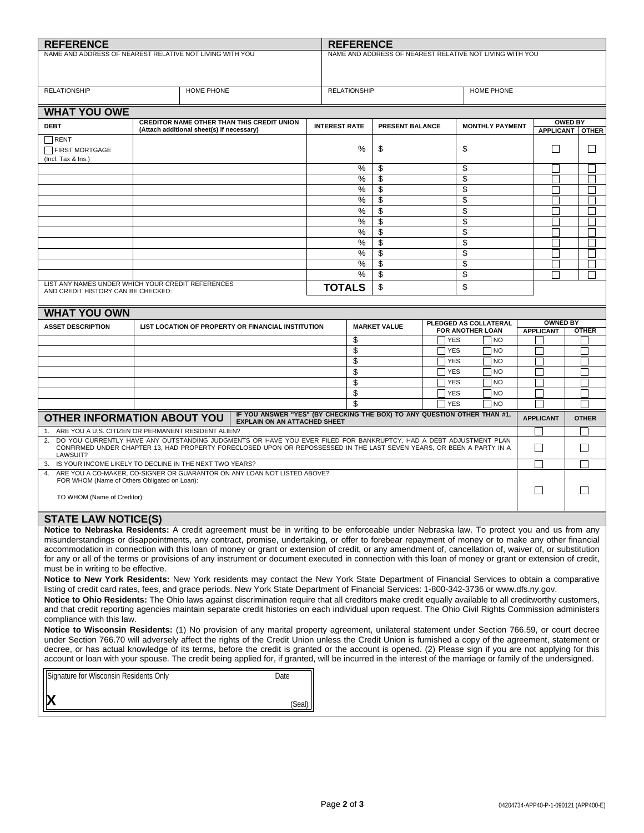| <b>REFERENCE</b>                                                                                                                                                                                                                                                                                                    |                                                                                                                                                                                                                                            | <b>REFERENCE</b>                                         |                                              |                          |                          |                                 |                   |                          |        |                          |
|---------------------------------------------------------------------------------------------------------------------------------------------------------------------------------------------------------------------------------------------------------------------------------------------------------------------|--------------------------------------------------------------------------------------------------------------------------------------------------------------------------------------------------------------------------------------------|----------------------------------------------------------|----------------------------------------------|--------------------------|--------------------------|---------------------------------|-------------------|--------------------------|--------|--------------------------|
| NAME AND ADDRESS OF NEAREST RELATIVE NOT LIVING WITH YOU                                                                                                                                                                                                                                                            |                                                                                                                                                                                                                                            | NAME AND ADDRESS OF NEAREST RELATIVE NOT LIVING WITH YOU |                                              |                          |                          |                                 |                   |                          |        |                          |
|                                                                                                                                                                                                                                                                                                                     |                                                                                                                                                                                                                                            |                                                          |                                              |                          |                          |                                 |                   |                          |        |                          |
| HOME PHONE                                                                                                                                                                                                                                                                                                          |                                                                                                                                                                                                                                            |                                                          |                                              |                          |                          |                                 |                   |                          |        |                          |
| <b>RELATIONSHIP</b>                                                                                                                                                                                                                                                                                                 |                                                                                                                                                                                                                                            | <b>RELATIONSHIP</b><br><b>HOME PHONE</b>                 |                                              |                          |                          |                                 |                   |                          |        |                          |
| <b>WHAT YOU OWE</b>                                                                                                                                                                                                                                                                                                 |                                                                                                                                                                                                                                            |                                                          |                                              |                          |                          |                                 |                   |                          |        |                          |
| <b>DEBT</b>                                                                                                                                                                                                                                                                                                         | <b>CREDITOR NAME OTHER THAN THIS CREDIT UNION</b><br>(Attach additional sheet(s) if necessary)                                                                                                                                             | <b>INTEREST RATE</b>                                     |                                              | PRESENT BALANCE          |                          | <b>MONTHLY PAYMENT</b>          |                   | <b>OWED BY</b>           |        |                          |
| RENT                                                                                                                                                                                                                                                                                                                |                                                                                                                                                                                                                                            |                                                          |                                              |                          |                          |                                 | APPLICANT   OTHER |                          |        |                          |
| FIRST MORTGAGE                                                                                                                                                                                                                                                                                                      |                                                                                                                                                                                                                                            |                                                          | %                                            | \$                       |                          | \$                              |                   |                          | $\Box$ |                          |
| (Incl. Tax & Ins.)                                                                                                                                                                                                                                                                                                  |                                                                                                                                                                                                                                            |                                                          | %                                            | \$                       | \$                       |                                 |                   |                          |        |                          |
|                                                                                                                                                                                                                                                                                                                     |                                                                                                                                                                                                                                            |                                                          | %                                            | \$                       |                          | \$                              |                   |                          |        |                          |
|                                                                                                                                                                                                                                                                                                                     |                                                                                                                                                                                                                                            |                                                          | %                                            | \$                       |                          | \$                              |                   |                          |        |                          |
|                                                                                                                                                                                                                                                                                                                     |                                                                                                                                                                                                                                            |                                                          | $\%$                                         | \$                       |                          | \$                              |                   |                          |        |                          |
|                                                                                                                                                                                                                                                                                                                     |                                                                                                                                                                                                                                            |                                                          | %<br>%                                       | \$<br>\$                 |                          | \$<br>\$                        |                   |                          |        |                          |
|                                                                                                                                                                                                                                                                                                                     |                                                                                                                                                                                                                                            |                                                          | %                                            | $\overline{\mathcal{E}}$ |                          | \$                              |                   |                          |        |                          |
|                                                                                                                                                                                                                                                                                                                     |                                                                                                                                                                                                                                            |                                                          | %                                            | \$                       |                          | \$                              |                   |                          |        |                          |
|                                                                                                                                                                                                                                                                                                                     |                                                                                                                                                                                                                                            |                                                          | %                                            | \$                       |                          | \$                              |                   |                          |        |                          |
|                                                                                                                                                                                                                                                                                                                     |                                                                                                                                                                                                                                            |                                                          | $\%$<br>$\%$                                 | \$<br>\$                 |                          | \$<br>\$                        |                   |                          |        |                          |
|                                                                                                                                                                                                                                                                                                                     | LIST ANY NAMES UNDER WHICH YOUR CREDIT REFERENCES                                                                                                                                                                                          |                                                          | <b>TOTALS</b>                                | \$                       |                          | \$                              |                   |                          |        |                          |
| AND CREDIT HISTORY CAN BE CHECKED:                                                                                                                                                                                                                                                                                  |                                                                                                                                                                                                                                            |                                                          |                                              |                          |                          |                                 |                   |                          |        |                          |
| <b>WHAT YOU OWN</b>                                                                                                                                                                                                                                                                                                 |                                                                                                                                                                                                                                            |                                                          |                                              |                          |                          |                                 |                   |                          |        |                          |
| <b>ASSET DESCRIPTION</b>                                                                                                                                                                                                                                                                                            | LIST LOCATION OF PROPERTY OR FINANCIAL INSTITUTION                                                                                                                                                                                         |                                                          | PLEDGED AS COLLATERAL<br><b>MARKET VALUE</b> |                          |                          |                                 |                   | <b>OWNED BY</b>          |        |                          |
|                                                                                                                                                                                                                                                                                                                     |                                                                                                                                                                                                                                            |                                                          | \$                                           |                          | <b>YES</b>               | <b>FOR ANOTHER LOAN</b><br>  NO |                   | <b>APPLICANT</b>         |        | <b>OTHER</b>             |
|                                                                                                                                                                                                                                                                                                                     |                                                                                                                                                                                                                                            |                                                          | \$                                           | <b>YES</b><br><b>NO</b>  |                          |                                 |                   |                          |        |                          |
|                                                                                                                                                                                                                                                                                                                     |                                                                                                                                                                                                                                            |                                                          | \$<br>TYES<br>NO                             |                          |                          |                                 |                   |                          |        |                          |
|                                                                                                                                                                                                                                                                                                                     |                                                                                                                                                                                                                                            |                                                          | \$<br>\$                                     |                          | <b>YES</b><br><b>YES</b> | <b>NO</b><br>NO                 |                   |                          |        |                          |
|                                                                                                                                                                                                                                                                                                                     |                                                                                                                                                                                                                                            |                                                          | \$                                           |                          | <b>YES</b>               | N <sub>O</sub>                  |                   |                          |        |                          |
|                                                                                                                                                                                                                                                                                                                     |                                                                                                                                                                                                                                            |                                                          | \$                                           |                          | <b>YES</b>               | <b>NO</b>                       |                   |                          |        |                          |
|                                                                                                                                                                                                                                                                                                                     | IF YOU ANSWER "YES" (BY CHECKING THE BOX) TO ANY QUESTION OTHER THAN #1,<br><b>OTHER INFORMATION ABOUT YOU</b><br><b>EXPLAIN ON AN ATTACHED SHEET</b>                                                                                      |                                                          |                                              |                          |                          |                                 |                   | <b>APPLICANT</b>         |        | <b>OTHER</b>             |
|                                                                                                                                                                                                                                                                                                                     | 1. ARE YOU A U.S. CITIZEN OR PERMANENT RESIDENT ALIEN?                                                                                                                                                                                     |                                                          |                                              |                          |                          |                                 |                   |                          |        |                          |
| 2.                                                                                                                                                                                                                                                                                                                  | DO YOU CURRENTLY HAVE ANY OUTSTANDING JUDGMENTS OR HAVE YOU EVER FILED FOR BANKRUPTCY, HAD A DEBT ADJUSTMENT PLAN<br>CONFIRMED UNDER CHAPTER 13, HAD PROPERTY FORECLOSED UPON OR REPOSSESSED IN THE LAST SEVEN YEARS, OR BEEN A PARTY IN A |                                                          |                                              |                          |                          |                                 |                   | $\mathsf{L}$             |        | $\overline{\phantom{a}}$ |
| LAWSUIT?                                                                                                                                                                                                                                                                                                            |                                                                                                                                                                                                                                            |                                                          |                                              |                          |                          |                                 |                   |                          |        |                          |
| 3. IS YOUR INCOME LIKELY TO DECLINE IN THE NEXT TWO YEARS?<br>4. ARE YOU A CO-MAKER, CO-SIGNER OR GUARANTOR ON ANY LOAN NOT LISTED ABOVE?                                                                                                                                                                           |                                                                                                                                                                                                                                            |                                                          |                                              |                          |                          |                                 |                   |                          |        |                          |
| FOR WHOM (Name of Others Obligated on Loan):                                                                                                                                                                                                                                                                        |                                                                                                                                                                                                                                            |                                                          |                                              |                          |                          |                                 |                   |                          |        |                          |
| TO WHOM (Name of Creditor):                                                                                                                                                                                                                                                                                         |                                                                                                                                                                                                                                            |                                                          |                                              |                          |                          |                                 |                   | $\overline{\phantom{a}}$ |        |                          |
|                                                                                                                                                                                                                                                                                                                     |                                                                                                                                                                                                                                            |                                                          |                                              |                          |                          |                                 |                   |                          |        |                          |
| <b>STATE LAW NOTICE(S)</b>                                                                                                                                                                                                                                                                                          | Notice to Nebraska Residents: A credit agreement must be in writing to be enforceable under Nebraska law. To protect you and us from any                                                                                                   |                                                          |                                              |                          |                          |                                 |                   |                          |        |                          |
|                                                                                                                                                                                                                                                                                                                     | misunderstandings or disappointments, any contract, promise, undertaking, or offer to forebear repayment of money or to make any other financial                                                                                           |                                                          |                                              |                          |                          |                                 |                   |                          |        |                          |
|                                                                                                                                                                                                                                                                                                                     | accommodation in connection with this loan of money or grant or extension of credit, or any amendment of, cancellation of, waiver of, or substitution                                                                                      |                                                          |                                              |                          |                          |                                 |                   |                          |        |                          |
| must be in writing to be effective.                                                                                                                                                                                                                                                                                 | for any or all of the terms or provisions of any instrument or document executed in connection with this loan of money or grant or extension of credit,                                                                                    |                                                          |                                              |                          |                          |                                 |                   |                          |        |                          |
|                                                                                                                                                                                                                                                                                                                     | Notice to New York Residents: New York residents may contact the New York State Department of Financial Services to obtain a comparative                                                                                                   |                                                          |                                              |                          |                          |                                 |                   |                          |        |                          |
| listing of credit card rates, fees, and grace periods. New York State Department of Financial Services: 1-800-342-3736 or www.dfs.ny.gov.                                                                                                                                                                           |                                                                                                                                                                                                                                            |                                                          |                                              |                          |                          |                                 |                   |                          |        |                          |
| Notice to Ohio Residents: The Ohio laws against discrimination require that all creditors make credit equally available to all creditworthy customers,<br>and that credit reporting agencies maintain separate credit histories on each individual upon request. The Ohio Civil Rights Commission administers       |                                                                                                                                                                                                                                            |                                                          |                                              |                          |                          |                                 |                   |                          |        |                          |
| compliance with this law.                                                                                                                                                                                                                                                                                           |                                                                                                                                                                                                                                            |                                                          |                                              |                          |                          |                                 |                   |                          |        |                          |
|                                                                                                                                                                                                                                                                                                                     | Notice to Wisconsin Residents: (1) No provision of any marital property agreement, unilateral statement under Section 766.59, or court decree                                                                                              |                                                          |                                              |                          |                          |                                 |                   |                          |        |                          |
| under Section 766.70 will adversely affect the rights of the Credit Union unless the Credit Union is furnished a copy of the agreement, statement or                                                                                                                                                                |                                                                                                                                                                                                                                            |                                                          |                                              |                          |                          |                                 |                   |                          |        |                          |
| decree, or has actual knowledge of its terms, before the credit is granted or the account is opened. (2) Please sign if you are not applying for this<br>account or loan with your spouse. The credit being applied for, if granted, will be incurred in the interest of the marriage or family of the undersigned. |                                                                                                                                                                                                                                            |                                                          |                                              |                          |                          |                                 |                   |                          |        |                          |
| Signature for Wisconsin Residents Only<br>Date                                                                                                                                                                                                                                                                      |                                                                                                                                                                                                                                            |                                                          |                                              |                          |                          |                                 |                   |                          |        |                          |
|                                                                                                                                                                                                                                                                                                                     |                                                                                                                                                                                                                                            |                                                          |                                              |                          |                          |                                 |                   |                          |        |                          |
|                                                                                                                                                                                                                                                                                                                     |                                                                                                                                                                                                                                            | (Seal)                                                   |                                              |                          |                          |                                 |                   |                          |        |                          |